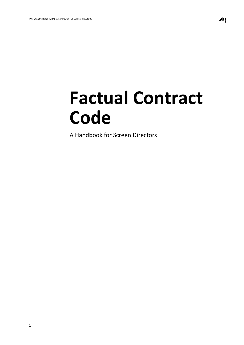JĮ

# **Factual Contract Code**

A Handbook for Screen Directors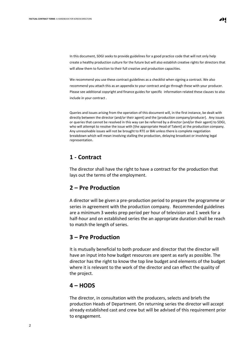In this document, SDGI seeks to provide guidelines for a good practice code that will not only help create a healthy production culture for the future but will also establish creative rights for directors that will allow them to function to their full creative and production capacities.

We recommend you use these contract guidelines as a checklist when signing a contract. We also recommend you attach this as an appendix to your contract and go through these with your producer. Please see additional copyright and finance guides for specific information related these clauses to also include in your contract .

Queries and issues arising from the operation of this document will, in the first instance, be dealt with directly between the director (and/or their agent) and the [production company/producer]. Any issues or queries that cannot be resolved in this way can be referred by a director (and/or their agent) to SDGI, who will attempt to resolve the issue with [the appropriate Head of Talent] at the production company. Any unresolvable issues will not be brought to RTE or BAI unless there is complete negotiation breakdown which will mean involving stalling the production, delaying broadcast or involving legal representation.

#### **1 - Contract**

The director shall have the right to have a contract for the production that lays out the terms of the employment.

#### **2 – Pre Production**

A director will be given a pre-production period to prepare the programme or series in agreement with the production company. Recommended guidelines are a minimum 3 weeks prep period per hour of television and 1 week for a half-hour and on established series the an appropriate duration shall be reach to match the length of series.

### **3 – Pre Production**

It is mutually beneficial to both producer and director that the director will have an input into how budget resources are spent as early as possible. The director has the right to know the top line budget and elements of the budget where it is relevant to the work of the director and can effect the quality of the project.

#### **4 – HODS**

The director, in consultation with the producers, selects and briefs the production Heads of Department. On returning series the director will accept already established cast and crew but will be advised of this requirement prior to engagement.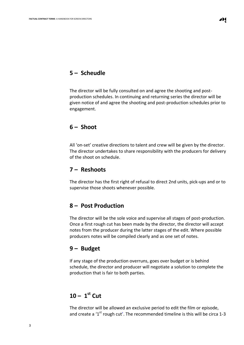## **5 – Scheudle**

The director will be fully consulted on and agree the shooting and postproduction schedules. In continuing and returning series the director will be given notice of and agree the shooting and post-production schedules prior to engagement.

#### **6 – Shoot**

All 'on-set' creative directions to talent and crew will be given by the director. The director undertakes to share responsibility with the producers for delivery of the shoot on schedule.

#### **7 – Reshoots**

The director has the first right of refusal to direct 2nd units, pick-ups and or to supervise those shoots whenever possible.

### **8 – Post Production**

The director will be the sole voice and supervise all stages of post-production. Once a first rough cut has been made by the director, the director will accept notes from the producer during the latter stages of the edit. Where possible producers notes will be compiled clearly and as one set of notes.

### **9 – Budget**

If any stage of the production overruns, goes over budget or is behind schedule, the director and producer will negotiate a solution to complete the production that is fair to both parties.

# **10 – 1 st Cut**

The director will be allowed an exclusive period to edit the film or episode, and create a '1<sup>st</sup> rough cut'. The recommended timeline is this will be circa 1-3